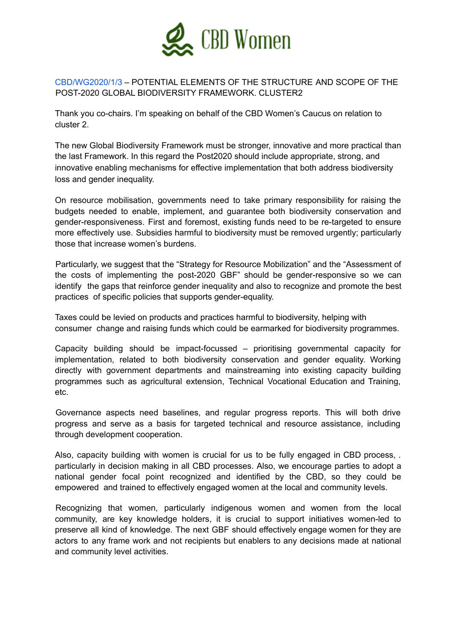

## CBD/WG2020/1/3 – POTENTIAL ELEMENTS OF THE STRUCTURE AND SCOPE OF THE POST-2020 GLOBAL BIODIVERSITY FRAMEWORK. CLUSTER2

Thank you co-chairs. I'm speaking on behalf of the CBD Women's Caucus on relation to cluster 2.

The new Global Biodiversity Framework must be stronger, innovative and more practical than the last Framework. In this regard the Post2020 should include appropriate, strong, and innovative enabling mechanisms for effective implementation that both address biodiversity loss and gender inequality.

On resource mobilisation, governments need to take primary responsibility for raising the budgets needed to enable, implement, and guarantee both biodiversity conservation and gender-responsiveness. First and foremost, existing funds need to be re-targeted to ensure more effectively use. Subsidies harmful to biodiversity must be removed urgently; particularly those that increase women's burdens.

Particularly, we suggest that the "Strategy for Resource Mobilization" and the "Assessment of the costs of implementing the post-2020 GBF" should be gender-responsive so we can identify the gaps that reinforce gender inequality and also to recognize and promote the best practices of specific policies that supports gender-equality.

Taxes could be levied on products and practices harmful to biodiversity, helping with consumer change and raising funds which could be earmarked for biodiversity programmes.

Capacity building should be impact-focussed – prioritising governmental capacity for implementation, related to both biodiversity conservation and gender equality. Working directly with government departments and mainstreaming into existing capacity building programmes such as agricultural extension, Technical Vocational Education and Training, etc.

Governance aspects need baselines, and regular progress reports. This will both drive progress and serve as a basis for targeted technical and resource assistance, including through development cooperation.

Also, capacity building with women is crucial for us to be fully engaged in CBD process, . particularly in decision making in all CBD processes. Also, we encourage parties to adopt a national gender focal point recognized and identified by the CBD, so they could be empowered and trained to effectively engaged women at the local and community levels.

Recognizing that women, particularly indigenous women and women from the local community, are key knowledge holders, it is crucial to support initiatives women-led to preserve all kind of knowledge. The next GBF should effectively engage women for they are actors to any frame work and not recipients but enablers to any decisions made at national and community level activities.